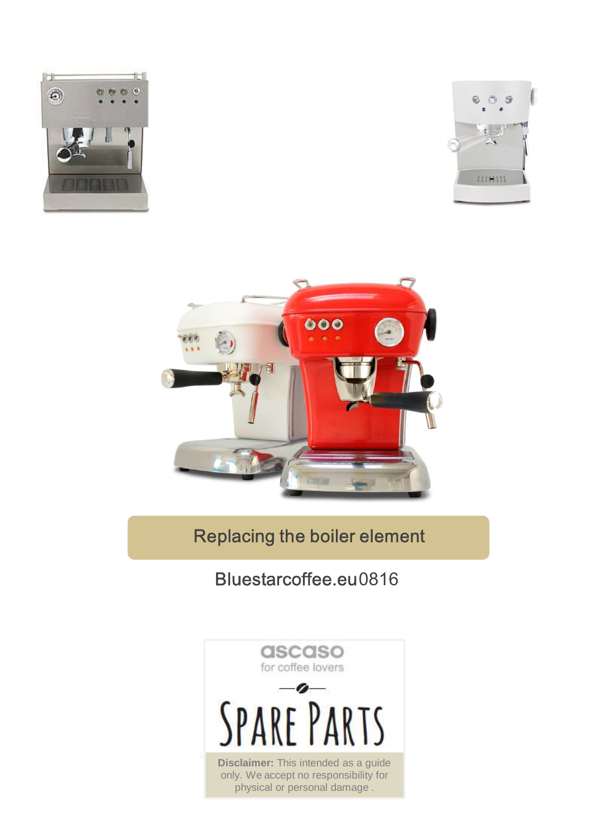





## Replacing the boiler element

## Bluestarcoffee.eu0816

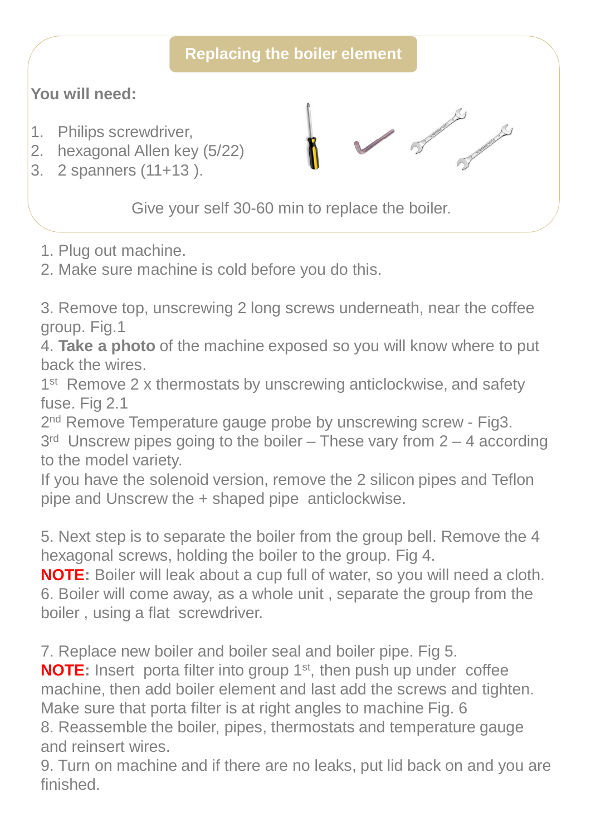## **Replacing the boiler element**

**Contract of the Contract of Contract of the Contract of Contract of Contract of Contract of Contract of Contract of Contract of Contract of Contract of Contract of Contract of Contract of Contract of Contract of Contract** 

## **You will need:**

- 1. Philips screwdriver,
- 2. hexagonal Allen key (5/22)
- 3. 2 spanners (11+13 ).

Give your self 30-60 min to replace the boiler.

1. Plug out machine.

2. Make sure machine is cold before you do this.

3. Remove top, unscrewing 2 long screws underneath, near the coffee group. Fig.1

4. **Take a photo** of the machine exposed so you will know where to put back the wires.

1<sup>st</sup> Remove 2 x thermostats by unscrewing anticlockwise, and safety fuse. Fig 2.1

2<sup>nd</sup> Remove Temperature gauge probe by unscrewing screw - Fig3.  $3<sup>rd</sup>$  Unscrew pipes going to the boiler – These vary from  $2 - 4$  according to the model variety.

If you have the solenoid version, remove the 2 silicon pipes and Teflon pipe and Unscrew the + shaped pipe anticlockwise.

5. Next step is to separate the boiler from the group bell. Remove the 4 hexagonal screws, holding the boiler to the group. Fig 4.

**NOTE:** Boiler will leak about a cup full of water, so you will need a cloth. 6. Boiler will come away, as a whole unit , separate the group from the boiler , using a flat screwdriver.

7. Replace new boiler and boiler seal and boiler pipe. Fig 5.

**NOTE:** Insert porta filter into group 1<sup>st</sup>, then push up under coffee machine, then add boiler element and last add the screws and tighten. Make sure that porta filter is at right angles to machine Fig. 6 8. Reassemble the boiler, pipes, thermostats and temperature gauge and reinsert wires.

9. Turn on machine and if there are no leaks, put lid back on and you are finished.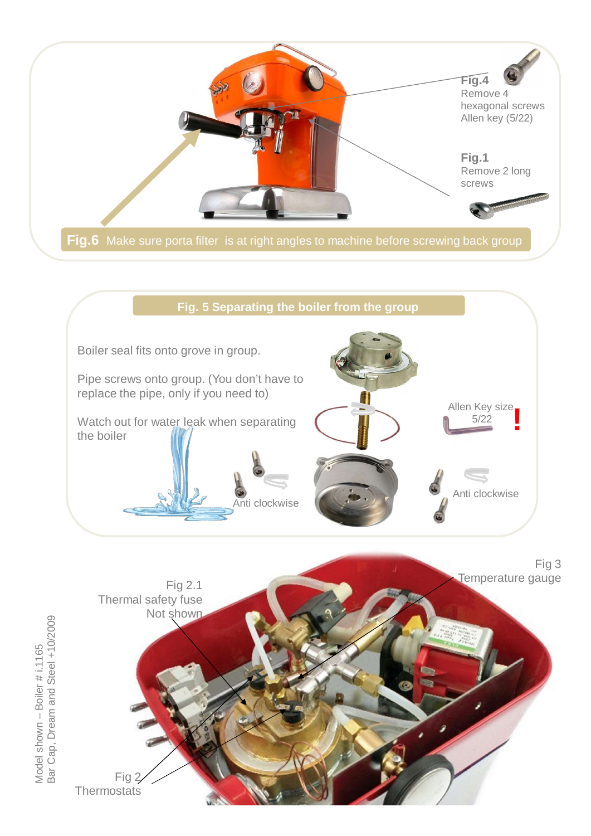





Model shown – Boiler # i.1165<br>Bar Cap, Dream and Steel +10/2009 Bar Cap, Dream and Steel +10/2009 Model shown – Boiler # i.1165